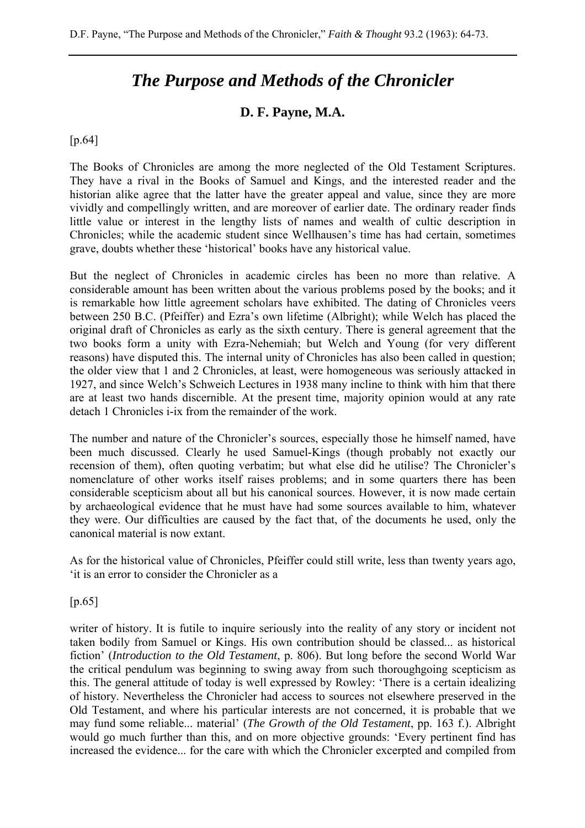## *The Purpose and Methods of the Chronicler*

## **D. F. Payne, M.A.**

[p.64]

The Books of Chronicles are among the more neglected of the Old Testament Scriptures. They have a rival in the Books of Samuel and Kings, and the interested reader and the historian alike agree that the latter have the greater appeal and value, since they are more vividly and compellingly written, and are moreover of earlier date. The ordinary reader finds little value or interest in the lengthy lists of names and wealth of cultic description in Chronicles; while the academic student since Wellhausen's time has had certain, sometimes grave, doubts whether these 'historical' books have any historical value.

But the neglect of Chronicles in academic circles has been no more than relative. A considerable amount has been written about the various problems posed by the books; and it is remarkable how little agreement scholars have exhibited. The dating of Chronicles veers between 250 B.C. (Pfeiffer) and Ezra's own lifetime (Albright); while Welch has placed the original draft of Chronicles as early as the sixth century. There is general agreement that the two books form a unity with Ezra-Nehemiah; but Welch and Young (for very different reasons) have disputed this. The internal unity of Chronicles has also been called in question; the older view that 1 and 2 Chronicles, at least, were homogeneous was seriously attacked in 1927, and since Welch's Schweich Lectures in 1938 many incline to think with him that there are at least two hands discernible. At the present time, majority opinion would at any rate detach 1 Chronicles i-ix from the remainder of the work.

The number and nature of the Chronicler's sources, especially those he himself named, have been much discussed. Clearly he used Samuel-Kings (though probably not exactly our recension of them), often quoting verbatim; but what else did he utilise? The Chronicler's nomenclature of other works itself raises problems; and in some quarters there has been considerable scepticism about all but his canonical sources. However, it is now made certain by archaeological evidence that he must have had some sources available to him, whatever they were. Our difficulties are caused by the fact that, of the documents he used, only the canonical material is now extant.

As for the historical value of Chronicles, Pfeiffer could still write, less than twenty years ago, 'it is an error to consider the Chronicler as a

 $[p.65]$ 

writer of history. It is futile to inquire seriously into the reality of any story or incident not taken bodily from Samuel or Kings. His own contribution should be classed... as historical fiction' (*Introduction to the Old Testament*, p. 806). But long before the second World War the critical pendulum was beginning to swing away from such thoroughgoing scepticism as this. The general attitude of today is well expressed by Rowley: 'There is a certain idealizing of history. Nevertheless the Chronicler had access to sources not elsewhere preserved in the Old Testament, and where his particular interests are not concerned, it is probable that we may fund some reliable... material' (*The Growth of the Old Testament*, pp. 163 f.). Albright would go much further than this, and on more objective grounds: 'Every pertinent find has increased the evidence... for the care with which the Chronicler excerpted and compiled from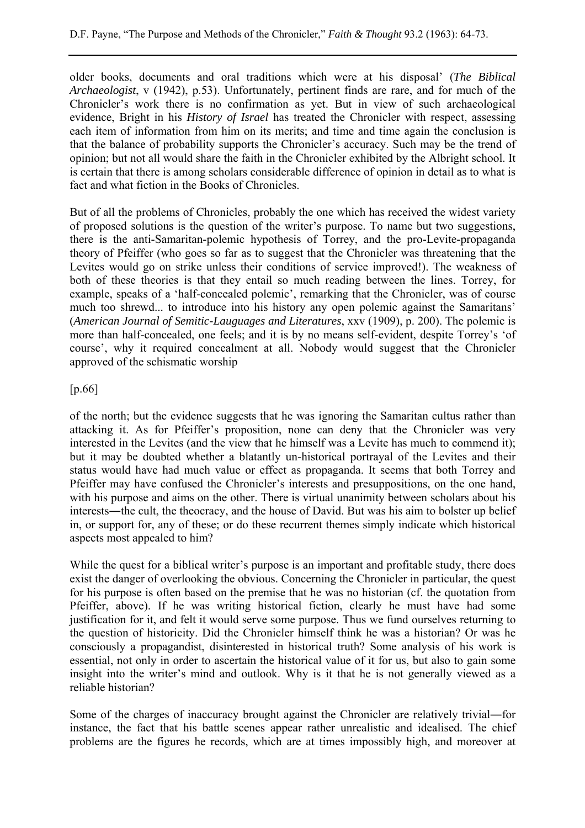older books, documents and oral traditions which were at his disposal' (*The Biblical Archaeologist*, v (1942), p.53). Unfortunately, pertinent finds are rare, and for much of the Chronicler's work there is no confirmation as yet. But in view of such archaeological evidence, Bright in his *History of Israel* has treated the Chronicler with respect, assessing each item of information from him on its merits; and time and time again the conclusion is that the balance of probability supports the Chronicler's accuracy. Such may be the trend of opinion; but not all would share the faith in the Chronicler exhibited by the Albright school. It is certain that there is among scholars considerable difference of opinion in detail as to what is fact and what fiction in the Books of Chronicles.

But of all the problems of Chronicles, probably the one which has received the widest variety of proposed solutions is the question of the writer's purpose. To name but two suggestions, there is the anti-Samaritan-polemic hypothesis of Torrey, and the pro-Levite-propaganda theory of Pfeiffer (who goes so far as to suggest that the Chronicler was threatening that the Levites would go on strike unless their conditions of service improved!). The weakness of both of these theories is that they entail so much reading between the lines. Torrey, for example, speaks of a 'half-concealed polemic', remarking that the Chronicler, was of course much too shrewd... to introduce into his history any open polemic against the Samaritans' (*American Journal of Semitic-Lauguages and Literatures*, xxv (1909), p. 200). The polemic is more than half-concealed, one feels; and it is by no means self-evident, despite Torrey's 'of course', why it required concealment at all. Nobody would suggest that the Chronicler approved of the schismatic worship

## [p.66]

of the north; but the evidence suggests that he was ignoring the Samaritan cultus rather than attacking it. As for Pfeiffer's proposition, none can deny that the Chronicler was very interested in the Levites (and the view that he himself was a Levite has much to commend it); but it may be doubted whether a blatantly un-historical portrayal of the Levites and their status would have had much value or effect as propaganda. It seems that both Torrey and Pfeiffer may have confused the Chronicler's interests and presuppositions, on the one hand, with his purpose and aims on the other. There is virtual unanimity between scholars about his interests―the cult, the theocracy, and the house of David. But was his aim to bolster up belief in, or support for, any of these; or do these recurrent themes simply indicate which historical aspects most appealed to him?

While the quest for a biblical writer's purpose is an important and profitable study, there does exist the danger of overlooking the obvious. Concerning the Chronicler in particular, the quest for his purpose is often based on the premise that he was no historian (cf. the quotation from Pfeiffer, above). If he was writing historical fiction, clearly he must have had some justification for it, and felt it would serve some purpose. Thus we fund ourselves returning to the question of historicity. Did the Chronicler himself think he was a historian? Or was he consciously a propagandist, disinterested in historical truth? Some analysis of his work is essential, not only in order to ascertain the historical value of it for us, but also to gain some insight into the writer's mind and outlook. Why is it that he is not generally viewed as a reliable historian?

Some of the charges of inaccuracy brought against the Chronicler are relatively trivial—for instance, the fact that his battle scenes appear rather unrealistic and idealised. The chief problems are the figures he records, which are at times impossibly high, and moreover at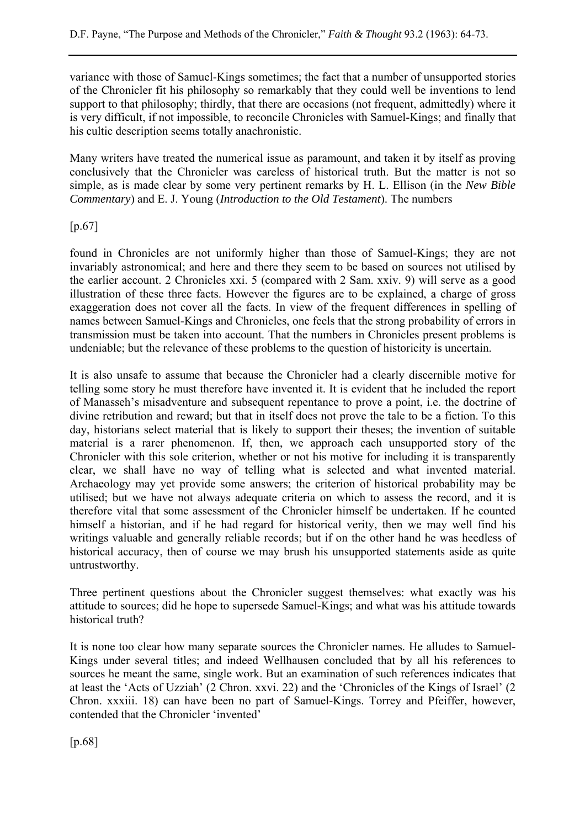variance with those of Samuel-Kings sometimes; the fact that a number of unsupported stories of the Chronicler fit his philosophy so remarkably that they could well be inventions to lend support to that philosophy; thirdly, that there are occasions (not frequent, admittedly) where it is very difficult, if not impossible, to reconcile Chronicles with Samuel-Kings; and finally that his cultic description seems totally anachronistic.

Many writers have treated the numerical issue as paramount, and taken it by itself as proving conclusively that the Chronicler was careless of historical truth. But the matter is not so simple, as is made clear by some very pertinent remarks by H. L. Ellison (in the *New Bible Commentary*) and E. J. Young (*Introduction to the Old Testament*). The numbers

[p.67]

found in Chronicles are not uniformly higher than those of Samuel-Kings; they are not invariably astronomical; and here and there they seem to be based on sources not utilised by the earlier account. 2 Chronicles xxi. 5 (compared with 2 Sam. xxiv. 9) will serve as a good illustration of these three facts. However the figures are to be explained, a charge of gross exaggeration does not cover all the facts. In view of the frequent differences in spelling of names between Samuel-Kings and Chronicles, one feels that the strong probability of errors in transmission must be taken into account. That the numbers in Chronicles present problems is undeniable; but the relevance of these problems to the question of historicity is uncertain.

It is also unsafe to assume that because the Chronicler had a clearly discernible motive for telling some story he must therefore have invented it. It is evident that he included the report of Manasseh's misadventure and subsequent repentance to prove a point, i.e. the doctrine of divine retribution and reward; but that in itself does not prove the tale to be a fiction. To this day, historians select material that is likely to support their theses; the invention of suitable material is a rarer phenomenon. If, then, we approach each unsupported story of the Chronicler with this sole criterion, whether or not his motive for including it is transparently clear, we shall have no way of telling what is selected and what invented material. Archaeology may yet provide some answers; the criterion of historical probability may be utilised; but we have not always adequate criteria on which to assess the record, and it is therefore vital that some assessment of the Chronicler himself be undertaken. If he counted himself a historian, and if he had regard for historical verity, then we may well find his writings valuable and generally reliable records; but if on the other hand he was heedless of historical accuracy, then of course we may brush his unsupported statements aside as quite untrustworthy.

Three pertinent questions about the Chronicler suggest themselves: what exactly was his attitude to sources; did he hope to supersede Samuel-Kings; and what was his attitude towards historical truth?

It is none too clear how many separate sources the Chronicler names. He alludes to Samuel-Kings under several titles; and indeed Wellhausen concluded that by all his references to sources he meant the same, single work. But an examination of such references indicates that at least the 'Acts of Uzziah' (2 Chron. xxvi. 22) and the 'Chronicles of the Kings of Israel' (2 Chron. xxxiii. 18) can have been no part of Samuel-Kings. Torrey and Pfeiffer, however, contended that the Chronicler 'invented'

[p.68]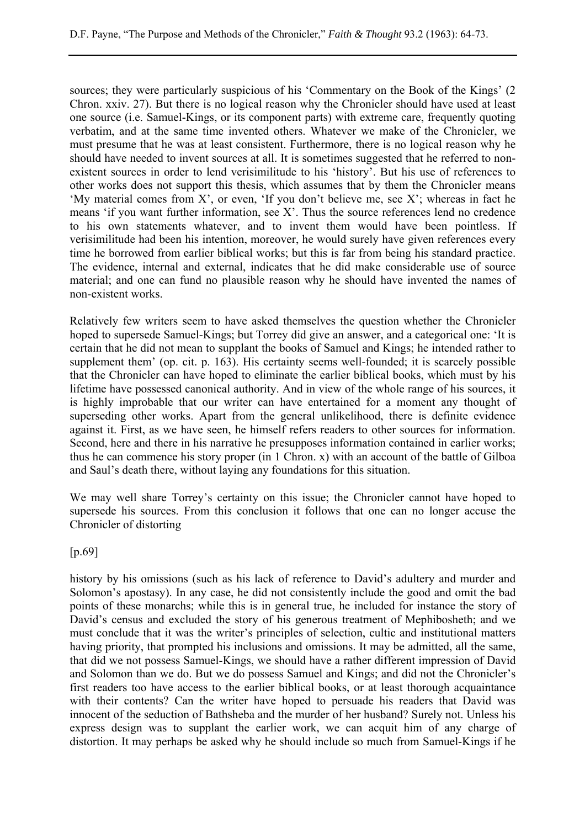sources; they were particularly suspicious of his 'Commentary on the Book of the Kings' (2 Chron. xxiv. 27). But there is no logical reason why the Chronicler should have used at least one source (i.e. Samuel-Kings, or its component parts) with extreme care, frequently quoting verbatim, and at the same time invented others. Whatever we make of the Chronicler, we must presume that he was at least consistent. Furthermore, there is no logical reason why he should have needed to invent sources at all. It is sometimes suggested that he referred to nonexistent sources in order to lend verisimilitude to his 'history'. But his use of references to other works does not support this thesis, which assumes that by them the Chronicler means 'My material comes from X', or even, 'If you don't believe me, see X'; whereas in fact he means 'if you want further information, see X'. Thus the source references lend no credence to his own statements whatever, and to invent them would have been pointless. If verisimilitude had been his intention, moreover, he would surely have given references every time he borrowed from earlier biblical works; but this is far from being his standard practice. The evidence, internal and external, indicates that he did make considerable use of source material; and one can fund no plausible reason why he should have invented the names of non-existent works.

Relatively few writers seem to have asked themselves the question whether the Chronicler hoped to supersede Samuel-Kings; but Torrey did give an answer, and a categorical one: 'It is certain that he did not mean to supplant the books of Samuel and Kings; he intended rather to supplement them' (op. cit. p. 163). His certainty seems well-founded; it is scarcely possible that the Chronicler can have hoped to eliminate the earlier biblical books, which must by his lifetime have possessed canonical authority. And in view of the whole range of his sources, it is highly improbable that our writer can have entertained for a moment any thought of superseding other works. Apart from the general unlikelihood, there is definite evidence against it. First, as we have seen, he himself refers readers to other sources for information. Second, here and there in his narrative he presupposes information contained in earlier works; thus he can commence his story proper (in 1 Chron. x) with an account of the battle of Gilboa and Saul's death there, without laying any foundations for this situation.

We may well share Torrey's certainty on this issue; the Chronicler cannot have hoped to supersede his sources. From this conclusion it follows that one can no longer accuse the Chronicler of distorting

[p.69]

history by his omissions (such as his lack of reference to David's adultery and murder and Solomon's apostasy). In any case, he did not consistently include the good and omit the bad points of these monarchs; while this is in general true, he included for instance the story of David's census and excluded the story of his generous treatment of Mephibosheth; and we must conclude that it was the writer's principles of selection, cultic and institutional matters having priority, that prompted his inclusions and omissions. It may be admitted, all the same, that did we not possess Samuel-Kings, we should have a rather different impression of David and Solomon than we do. But we do possess Samuel and Kings; and did not the Chronicler's first readers too have access to the earlier biblical books, or at least thorough acquaintance with their contents? Can the writer have hoped to persuade his readers that David was innocent of the seduction of Bathsheba and the murder of her husband? Surely not. Unless his express design was to supplant the earlier work, we can acquit him of any charge of distortion. It may perhaps be asked why he should include so much from Samuel-Kings if he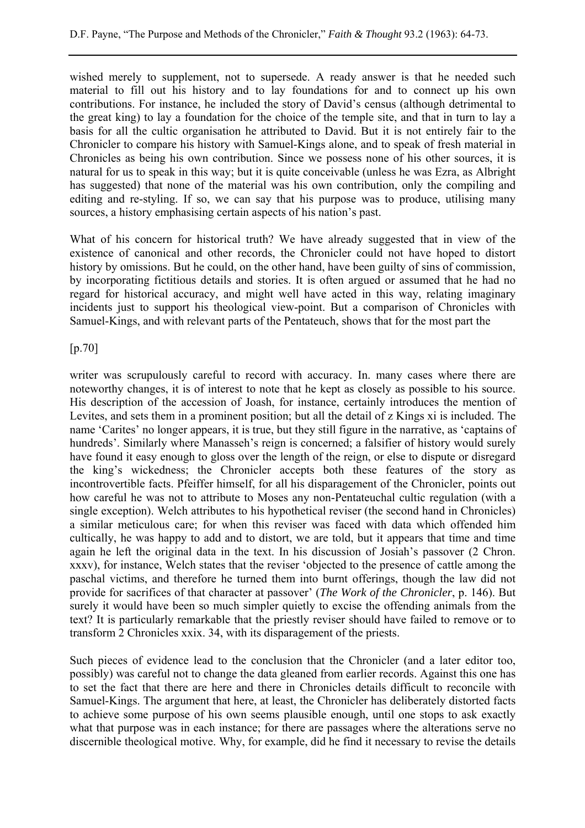wished merely to supplement, not to supersede. A ready answer is that he needed such material to fill out his history and to lay foundations for and to connect up his own contributions. For instance, he included the story of David's census (although detrimental to the great king) to lay a foundation for the choice of the temple site, and that in turn to lay a basis for all the cultic organisation he attributed to David. But it is not entirely fair to the Chronicler to compare his history with Samuel-Kings alone, and to speak of fresh material in Chronicles as being his own contribution. Since we possess none of his other sources, it is natural for us to speak in this way; but it is quite conceivable (unless he was Ezra, as Albright has suggested) that none of the material was his own contribution, only the compiling and editing and re-styling. If so, we can say that his purpose was to produce, utilising many sources, a history emphasising certain aspects of his nation's past.

What of his concern for historical truth? We have already suggested that in view of the existence of canonical and other records, the Chronicler could not have hoped to distort history by omissions. But he could, on the other hand, have been guilty of sins of commission, by incorporating fictitious details and stories. It is often argued or assumed that he had no regard for historical accuracy, and might well have acted in this way, relating imaginary incidents just to support his theological view-point. But a comparison of Chronicles with Samuel-Kings, and with relevant parts of the Pentateuch, shows that for the most part the

[p.70]

writer was scrupulously careful to record with accuracy. In. many cases where there are noteworthy changes, it is of interest to note that he kept as closely as possible to his source. His description of the accession of Joash, for instance, certainly introduces the mention of Levites, and sets them in a prominent position; but all the detail of z Kings xi is included. The name 'Carites' no longer appears, it is true, but they still figure in the narrative, as 'captains of hundreds'. Similarly where Manasseh's reign is concerned; a falsifier of history would surely have found it easy enough to gloss over the length of the reign, or else to dispute or disregard the king's wickedness; the Chronicler accepts both these features of the story as incontrovertible facts. Pfeiffer himself, for all his disparagement of the Chronicler, points out how careful he was not to attribute to Moses any non-Pentateuchal cultic regulation (with a single exception). Welch attributes to his hypothetical reviser (the second hand in Chronicles) a similar meticulous care; for when this reviser was faced with data which offended him cultically, he was happy to add and to distort, we are told, but it appears that time and time again he left the original data in the text. In his discussion of Josiah's passover (2 Chron. xxxv), for instance, Welch states that the reviser 'objected to the presence of cattle among the paschal victims, and therefore he turned them into burnt offerings, though the law did not provide for sacrifices of that character at passover' (*The Work of the Chronicler*, p. 146). But surely it would have been so much simpler quietly to excise the offending animals from the text? It is particularly remarkable that the priestly reviser should have failed to remove or to transform 2 Chronicles xxix. 34, with its disparagement of the priests.

Such pieces of evidence lead to the conclusion that the Chronicler (and a later editor too, possibly) was careful not to change the data gleaned from earlier records. Against this one has to set the fact that there are here and there in Chronicles details difficult to reconcile with Samuel-Kings. The argument that here, at least, the Chronicler has deliberately distorted facts to achieve some purpose of his own seems plausible enough, until one stops to ask exactly what that purpose was in each instance; for there are passages where the alterations serve no discernible theological motive. Why, for example, did he find it necessary to revise the details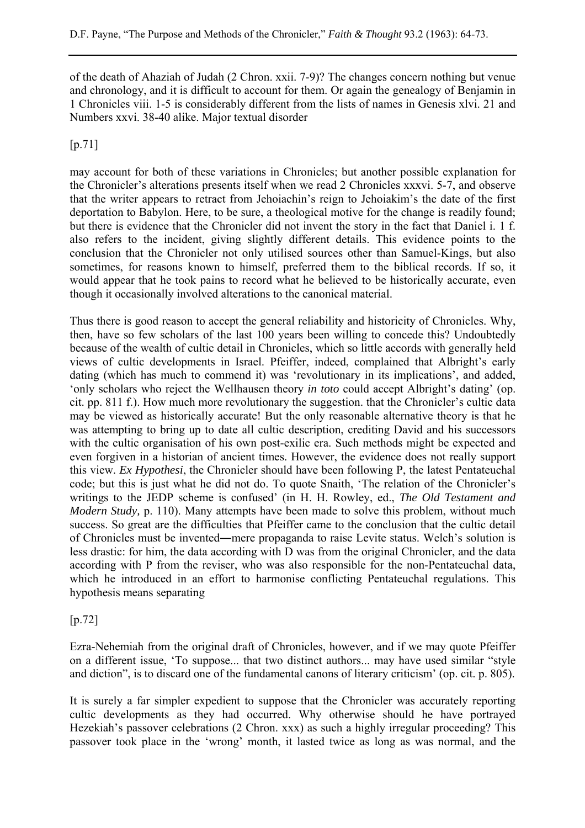of the death of Ahaziah of Judah (2 Chron. xxii. 7-9)? The changes concern nothing but venue and chronology, and it is difficult to account for them. Or again the genealogy of Benjamin in 1 Chronicles viii. 1-5 is considerably different from the lists of names in Genesis xlvi. 21 and Numbers xxvi. 38-40 alike. Major textual disorder

[p.71]

may account for both of these variations in Chronicles; but another possible explanation for the Chronicler's alterations presents itself when we read 2 Chronicles xxxvi. 5-7, and observe that the writer appears to retract from Jehoiachin's reign to Jehoiakim's the date of the first deportation to Babylon. Here, to be sure, a theological motive for the change is readily found; but there is evidence that the Chronicler did not invent the story in the fact that Daniel i. 1 f. also refers to the incident, giving slightly different details. This evidence points to the conclusion that the Chronicler not only utilised sources other than Samuel-Kings, but also sometimes, for reasons known to himself, preferred them to the biblical records. If so, it would appear that he took pains to record what he believed to be historically accurate, even though it occasionally involved alterations to the canonical material.

Thus there is good reason to accept the general reliability and historicity of Chronicles. Why, then, have so few scholars of the last 100 years been willing to concede this? Undoubtedly because of the wealth of cultic detail in Chronicles, which so little accords with generally held views of cultic developments in Israel. Pfeiffer, indeed, complained that Albright's early dating (which has much to commend it) was 'revolutionary in its implications', and added, 'only scholars who reject the Wellhausen theory *in toto* could accept Albright's dating' (op. cit. pp. 811 f.). How much more revolutionary the suggestion. that the Chronicler's cultic data may be viewed as historically accurate! But the only reasonable alternative theory is that he was attempting to bring up to date all cultic description, crediting David and his successors with the cultic organisation of his own post-exilic era. Such methods might be expected and even forgiven in a historian of ancient times. However, the evidence does not really support this view. *Ex Hypothesi*, the Chronicler should have been following P, the latest Pentateuchal code; but this is just what he did not do. To quote Snaith, 'The relation of the Chronicler's writings to the JEDP scheme is confused' (in H. H. Rowley, ed., *The Old Testament and Modern Study,* p. 110). Many attempts have been made to solve this problem, without much success. So great are the difficulties that Pfeiffer came to the conclusion that the cultic detail of Chronicles must be invented―mere propaganda to raise Levite status. Welch's solution is less drastic: for him, the data according with D was from the original Chronicler, and the data according with P from the reviser, who was also responsible for the non-Pentateuchal data, which he introduced in an effort to harmonise conflicting Pentateuchal regulations. This hypothesis means separating

[p.72]

Ezra-Nehemiah from the original draft of Chronicles, however, and if we may quote Pfeiffer on a different issue, 'To suppose... that two distinct authors... may have used similar "style and diction", is to discard one of the fundamental canons of literary criticism' (op. cit. p. 805).

It is surely a far simpler expedient to suppose that the Chronicler was accurately reporting cultic developments as they had occurred. Why otherwise should he have portrayed Hezekiah's passover celebrations (2 Chron. xxx) as such a highly irregular proceeding? This passover took place in the 'wrong' month, it lasted twice as long as was normal, and the